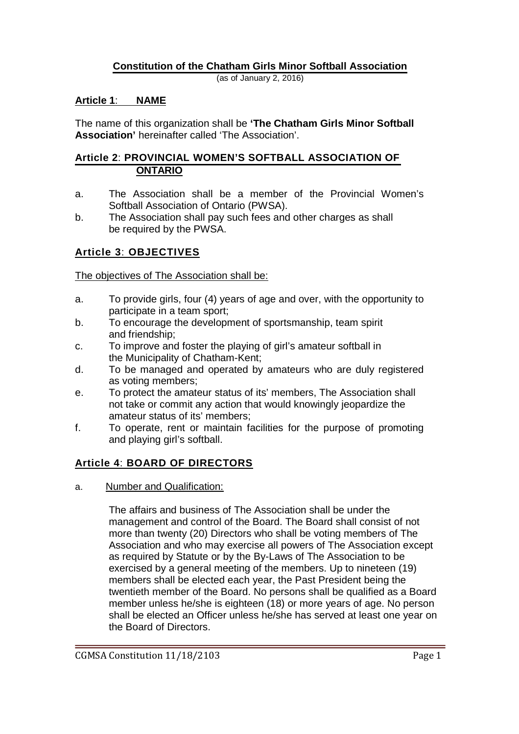## **Constitution of the Chatham Girls Minor Softball Association**

(as of January 2, 2016)

#### **Article 1**: **NAME**

The name of this organization shall be **'The Chatham Girls Minor Softball Association'** hereinafter called 'The Association'.

#### **Article 2**: **PROVINCIAL WOMEN'S SOFTBALL ASSOCIATION OF ONTARIO**

- a. The Association shall be a member of the Provincial Women's Softball Association of Ontario (PWSA).
- b. The Association shall pay such fees and other charges as shall be required by the PWSA.

## **Article 3**: **OBJECTIVES**

The objectives of The Association shall be:

- a. To provide girls, four (4) years of age and over, with the opportunity to participate in a team sport;
- b. To encourage the development of sportsmanship, team spirit and friendship;
- c. To improve and foster the playing of girl's amateur softball in the Municipality of Chatham-Kent;
- d. To be managed and operated by amateurs who are duly registered as voting members;
- e. To protect the amateur status of its' members, The Association shall not take or commit any action that would knowingly jeopardize the amateur status of its' members;
- f. To operate, rent or maintain facilities for the purpose of promoting and playing girl's softball.

## **Article 4**: **BOARD OF DIRECTORS**

a. Number and Qualification:

The affairs and business of The Association shall be under the management and control of the Board. The Board shall consist of not more than twenty (20) Directors who shall be voting members of The Association and who may exercise all powers of The Association except as required by Statute or by the By-Laws of The Association to be exercised by a general meeting of the members. Up to nineteen (19) members shall be elected each year, the Past President being the twentieth member of the Board. No persons shall be qualified as a Board member unless he/she is eighteen (18) or more years of age. No person shall be elected an Officer unless he/she has served at least one year on the Board of Directors.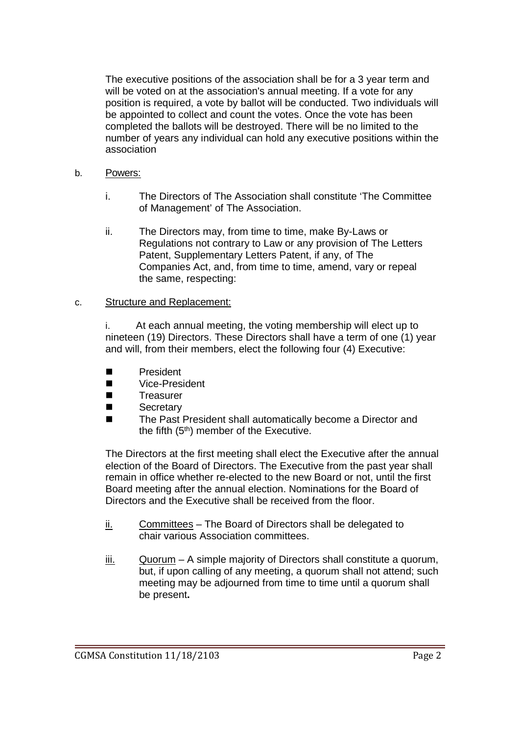The executive positions of the association shall be for a 3 year term and will be voted on at the association's annual meeting. If a vote for any position is required, a vote by ballot will be conducted. Two individuals will be appointed to collect and count the votes. Once the vote has been completed the ballots will be destroyed. There will be no limited to the number of years any individual can hold any executive positions within the association

#### b. Powers:

- i. The Directors of The Association shall constitute 'The Committee of Management' of The Association.
- ii. The Directors may, from time to time, make By-Laws or Regulations not contrary to Law or any provision of The Letters Patent, Supplementary Letters Patent, if any, of The Companies Act, and, from time to time, amend, vary or repeal the same, respecting:

#### c. Structure and Replacement:

i. At each annual meeting, the voting membership will elect up to nineteen (19) Directors. These Directors shall have a term of one (1) year and will, from their members, elect the following four (4) Executive:

- **President**
- Vice-President
- Treasurer
- Secretary
- The Past President shall automatically become a Director and the fifth (5<sup>th</sup>) member of the Executive.

The Directors at the first meeting shall elect the Executive after the annual election of the Board of Directors. The Executive from the past year shall remain in office whether re-elected to the new Board or not, until the first Board meeting after the annual election. Nominations for the Board of Directors and the Executive shall be received from the floor.

- ii. Committees The Board of Directors shall be delegated to chair various Association committees.
- iii. Quorum A simple majority of Directors shall constitute a quorum, but, if upon calling of any meeting, a quorum shall not attend; such meeting may be adjourned from time to time until a quorum shall be present**.**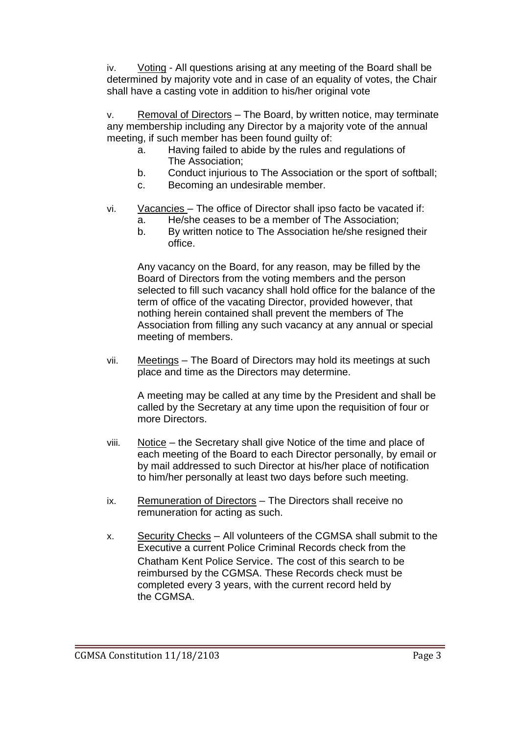iv. Voting - All questions arising at any meeting of the Board shall be determined by majority vote and in case of an equality of votes, the Chair shall have a casting vote in addition to his/her original vote

Removal of Directors – The Board, by written notice, may terminate any membership including any Director by a majority vote of the annual meeting, if such member has been found guilty of:

- a. Having failed to abide by the rules and regulations of The Association;
- b. Conduct injurious to The Association or the sport of softball;
- c. Becoming an undesirable member.
- vi. Vacancies The office of Director shall ipso facto be vacated if:
	- a. He/she ceases to be a member of The Association;
	- b. By written notice to The Association he/she resigned their office.

Any vacancy on the Board, for any reason, may be filled by the Board of Directors from the voting members and the person selected to fill such vacancy shall hold office for the balance of the term of office of the vacating Director, provided however, that nothing herein contained shall prevent the members of The Association from filling any such vacancy at any annual or special meeting of members.

vii. Meetings – The Board of Directors may hold its meetings at such place and time as the Directors may determine.

A meeting may be called at any time by the President and shall be called by the Secretary at any time upon the requisition of four or more Directors.

- viii. Notice the Secretary shall give Notice of the time and place of each meeting of the Board to each Director personally, by email or by mail addressed to such Director at his/her place of notification to him/her personally at least two days before such meeting.
- ix. Remuneration of Directors The Directors shall receive no remuneration for acting as such.
- x. Security Checks All volunteers of the CGMSA shall submit to the Executive a current Police Criminal Records check from the Chatham Kent Police Service. The cost of this search to be reimbursed by the CGMSA. These Records check must be completed every 3 years, with the current record held by the CGMSA.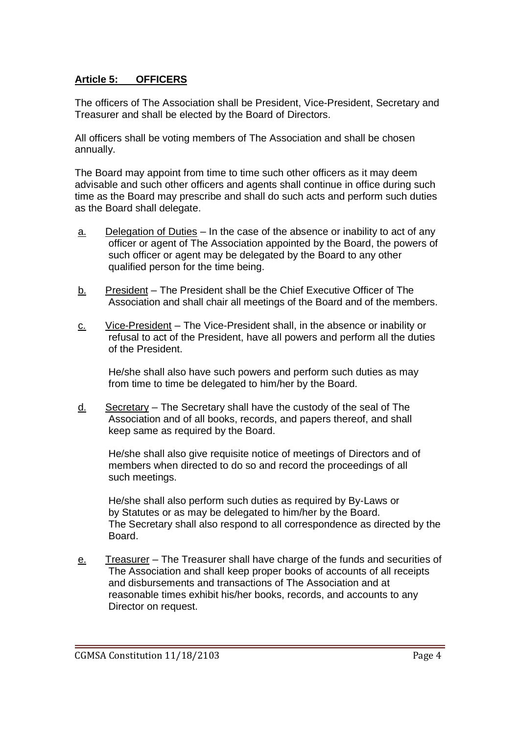# **Article 5: OFFICERS**

The officers of The Association shall be President, Vice-President, Secretary and Treasurer and shall be elected by the Board of Directors.

All officers shall be voting members of The Association and shall be chosen annually.

The Board may appoint from time to time such other officers as it may deem advisable and such other officers and agents shall continue in office during such time as the Board may prescribe and shall do such acts and perform such duties as the Board shall delegate.

- $a.$  Delegation of Duties In the case of the absence or inability to act of any officer or agent of The Association appointed by the Board, the powers of such officer or agent may be delegated by the Board to any other qualified person for the time being.
- b. President The President shall be the Chief Executive Officer of The Association and shall chair all meetings of the Board and of the members.
- c. Vice-President The Vice-President shall, in the absence or inability or refusal to act of the President, have all powers and perform all the duties of the President.

He/she shall also have such powers and perform such duties as may from time to time be delegated to him/her by the Board.

d. Secretary – The Secretary shall have the custody of the seal of The Association and of all books, records, and papers thereof, and shall keep same as required by the Board.

He/she shall also give requisite notice of meetings of Directors and of members when directed to do so and record the proceedings of all such meetings.

He/she shall also perform such duties as required by By-Laws or by Statutes or as may be delegated to him/her by the Board. The Secretary shall also respond to all correspondence as directed by the Board.

e. Treasurer – The Treasurer shall have charge of the funds and securities of The Association and shall keep proper books of accounts of all receipts and disbursements and transactions of The Association and at reasonable times exhibit his/her books, records, and accounts to any Director on request.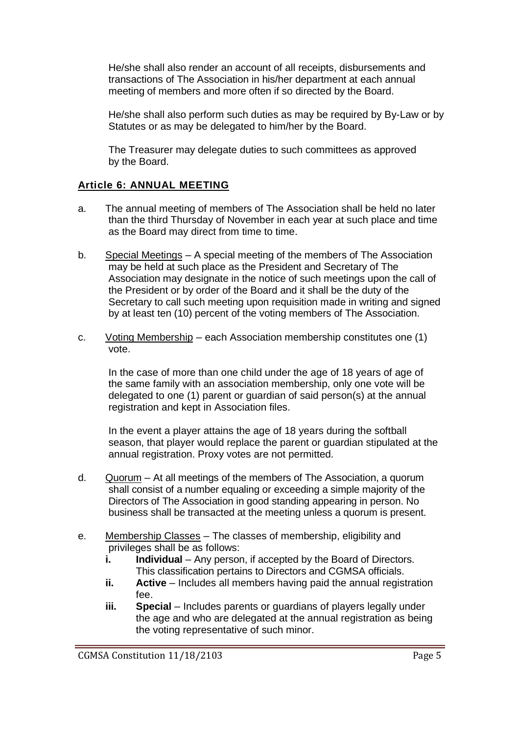He/she shall also render an account of all receipts, disbursements and transactions of The Association in his/her department at each annual meeting of members and more often if so directed by the Board.

He/she shall also perform such duties as may be required by By-Law or by Statutes or as may be delegated to him/her by the Board.

The Treasurer may delegate duties to such committees as approved by the Board.

## **Article 6: ANNUAL MEETING**

- a. The annual meeting of members of The Association shall be held no later than the third Thursday of November in each year at such place and time as the Board may direct from time to time.
- b. Special Meetings A special meeting of the members of The Association may be held at such place as the President and Secretary of The Association may designate in the notice of such meetings upon the call of the President or by order of the Board and it shall be the duty of the Secretary to call such meeting upon requisition made in writing and signed by at least ten (10) percent of the voting members of The Association.
- c. Voting Membership each Association membership constitutes one (1) vote.

In the case of more than one child under the age of 18 years of age of the same family with an association membership, only one vote will be delegated to one (1) parent or guardian of said person(s) at the annual registration and kept in Association files.

In the event a player attains the age of 18 years during the softball season, that player would replace the parent or guardian stipulated at the annual registration. Proxy votes are not permitted.

- d. Quorum At all meetings of the members of The Association, a quorum shall consist of a number equaling or exceeding a simple majority of the Directors of The Association in good standing appearing in person. No business shall be transacted at the meeting unless a quorum is present.
- e. Membership Classes The classes of membership, eligibility and privileges shall be as follows:
	- **i.** Individual Any person, if accepted by the Board of Directors. This classification pertains to Directors and CGMSA officials.
	- **ii.** Active Includes all members having paid the annual registration fee.
	- **iii. Special** Includes parents or guardians of players legally under the age and who are delegated at the annual registration as being the voting representative of such minor.